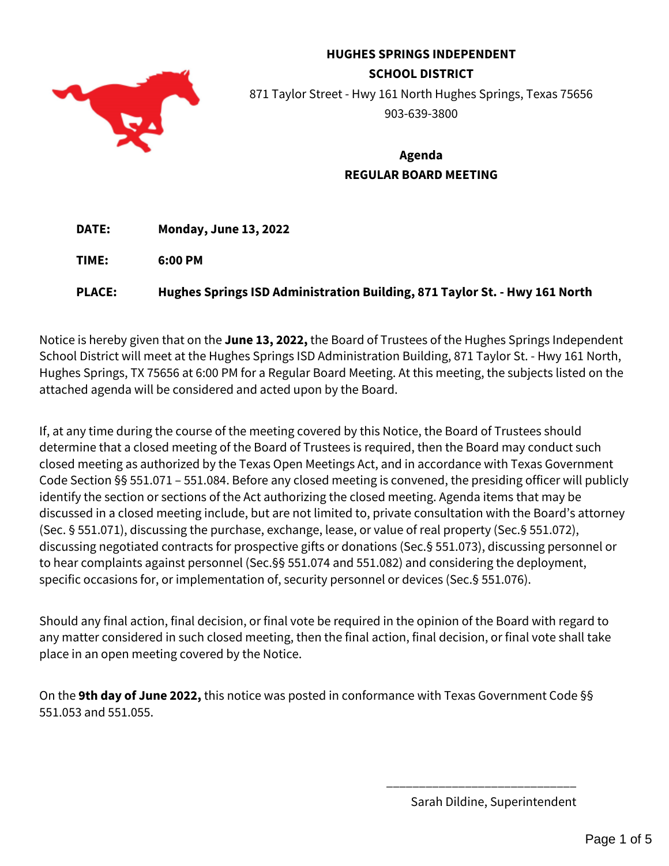

# **HUGHES SPRINGS INDEPENDENT SCHOOL DISTRICT** 871 Taylor Street - Hwy 161 North Hughes Springs, Texas 75656 903-639-3800

# **Agenda REGULAR BOARD MEETING**

**DATE: Monday, June 13, 2022** 

**TIME: 6:00 PM**

**PLACE: Hughes Springs ISD Administration Building, 871 Taylor St. - Hwy 161 North**

Notice is hereby given that on the **June 13, 2022,** the Board of Trustees of the Hughes Springs Independent School District will meet at the Hughes Springs ISD Administration Building, 871 Taylor St. - Hwy 161 North, Hughes Springs, TX 75656 at 6:00 PM for a Regular Board Meeting. At this meeting, the subjects listed on the attached agenda will be considered and acted upon by the Board.

If, at any time during the course of the meeting covered by this Notice, the Board of Trustees should determine that a closed meeting of the Board of Trustees is required, then the Board may conduct such closed meeting as authorized by the Texas Open Meetings Act, and in accordance with Texas Government Code Section §§ 551.071 – 551.084. Before any closed meeting is convened, the presiding officer will publicly identify the section or sections of the Act authorizing the closed meeting. Agenda items that may be discussed in a closed meeting include, but are not limited to, private consultation with the Board's attorney (Sec. § 551.071), discussing the purchase, exchange, lease, or value of real property (Sec.§ 551.072), discussing negotiated contracts for prospective gifts or donations (Sec.§ 551.073), discussing personnel or to hear complaints against personnel (Sec.§§ 551.074 and 551.082) and considering the deployment, specific occasions for, or implementation of, security personnel or devices (Sec.§ 551.076).

Should any final action, final decision, or final vote be required in the opinion of the Board with regard to any matter considered in such closed meeting, then the final action, final decision, or final vote shall take place in an open meeting covered by the Notice.

On the **9th day of June 2022,** this notice was posted in conformance with Texas Government Code §§ 551.053 and 551.055.

Sarah Dildine, Superintendent

\_\_\_\_\_\_\_\_\_\_\_\_\_\_\_\_\_\_\_\_\_\_\_\_\_\_\_\_\_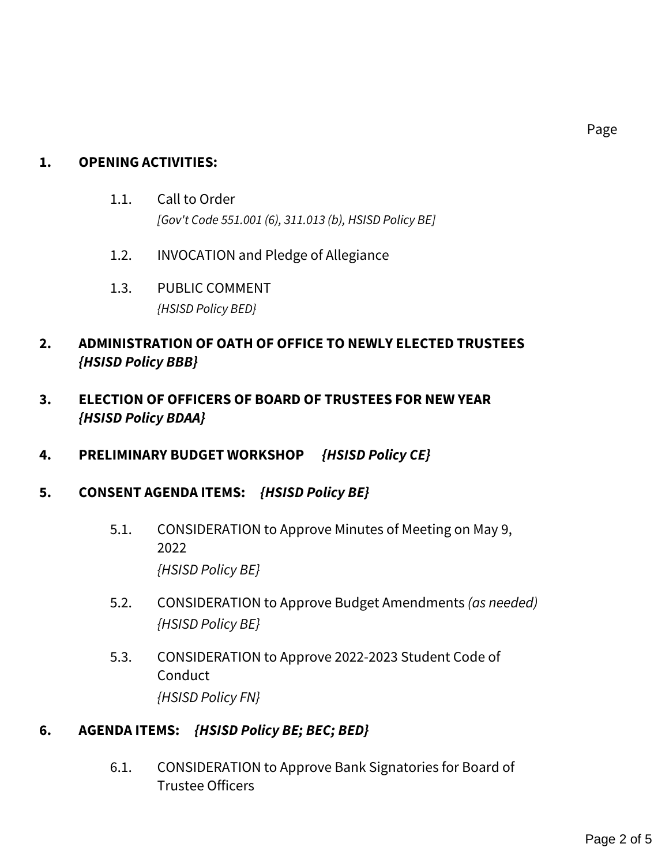# **1. OPENING ACTIVITIES:**

- 1.1. Call to Order *[Gov't Code 551.001 (6), 311.013 (b), HSISD Policy BE]*
- 1.2. INVOCATION and Pledge of Allegiance
- 1.3. PUBLIC COMMENT *{HSISD Policy BED}*

# **2. ADMINISTRATION OF OATH OF OFFICE TO NEWLY ELECTED TRUSTEES**  *{HSISD Policy BBB}*

- **3. ELECTION OF OFFICERS OF BOARD OF TRUSTEES FOR NEW YEAR**  *{HSISD Policy BDAA}*
- **4. PRELIMINARY BUDGET WORKSHOP** *{HSISD Policy CE}*
- **5. CONSENT AGENDA ITEMS:** *{HSISD Policy BE}*
	- 5.1. CONSIDERATION to Approve Minutes of Meeting on May 9, 2022 *{HSISD Policy BE}*
	- 5.2. CONSIDERATION to Approve Budget Amendments *(as needed) {HSISD Policy BE}*
	- 5.3. CONSIDERATION to Approve 2022-2023 Student Code of **Conduct** *{HSISD Policy FN}*

# **6. AGENDA ITEMS:** *{HSISD Policy BE; BEC; BED}*

6.1. CONSIDERATION to Approve Bank Signatories for Board of Trustee Officers

Page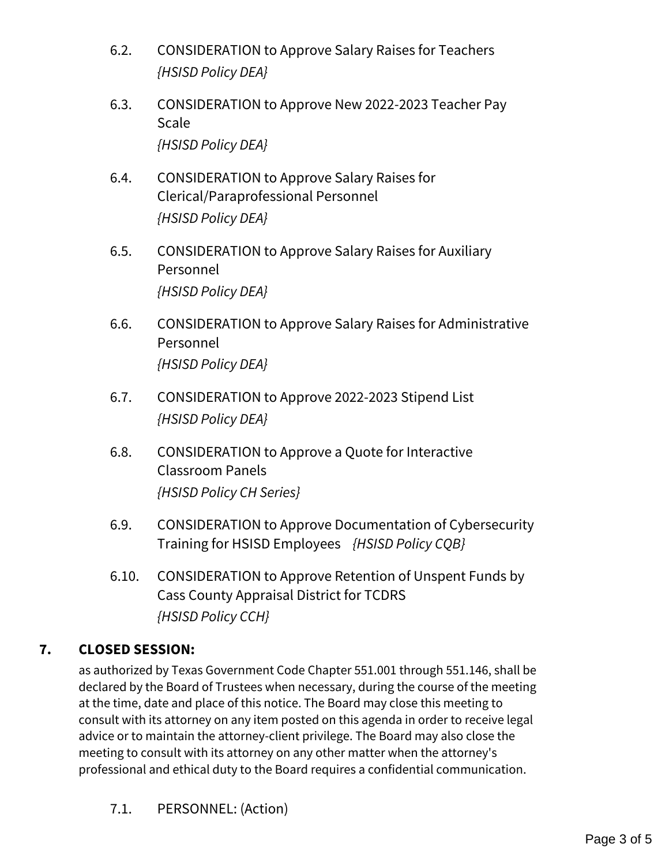- 6.2. CONSIDERATION to Approve Salary Raises for Teachers *{HSISD Policy DEA}*
- 6.3. CONSIDERATION to Approve New 2022-2023 Teacher Pay Scale *{HSISD Policy DEA}*
- 6.4. CONSIDERATION to Approve Salary Raises for Clerical/Paraprofessional Personnel *{HSISD Policy DEA}*
- 6.5. CONSIDERATION to Approve Salary Raises for Auxiliary Personnel *{HSISD Policy DEA}*
- 6.6. CONSIDERATION to Approve Salary Raises for Administrative Personnel *{HSISD Policy DEA}*
- 6.7. CONSIDERATION to Approve 2022-2023 Stipend List *{HSISD Policy DEA}*
- 6.8. CONSIDERATION to Approve a Quote for Interactive Classroom Panels *{HSISD Policy CH Series}*
- 6.9. CONSIDERATION to Approve Documentation of Cybersecurity Training for HSISD Employees *{HSISD Policy CQB}*
- 6.10. CONSIDERATION to Approve Retention of Unspent Funds by Cass County Appraisal District for TCDRS *{HSISD Policy CCH}*

# **7. CLOSED SESSION:**

as authorized by Texas Government Code Chapter 551.001 through 551.146, shall be declared by the Board of Trustees when necessary, during the course of the meeting at the time, date and place of this notice. The Board may close this meeting to consult with its attorney on any item posted on this agenda in order to receive legal advice or to maintain the attorney-client privilege. The Board may also close the meeting to consult with its attorney on any other matter when the attorney's professional and ethical duty to the Board requires a confidential communication.

7.1. PERSONNEL: (Action)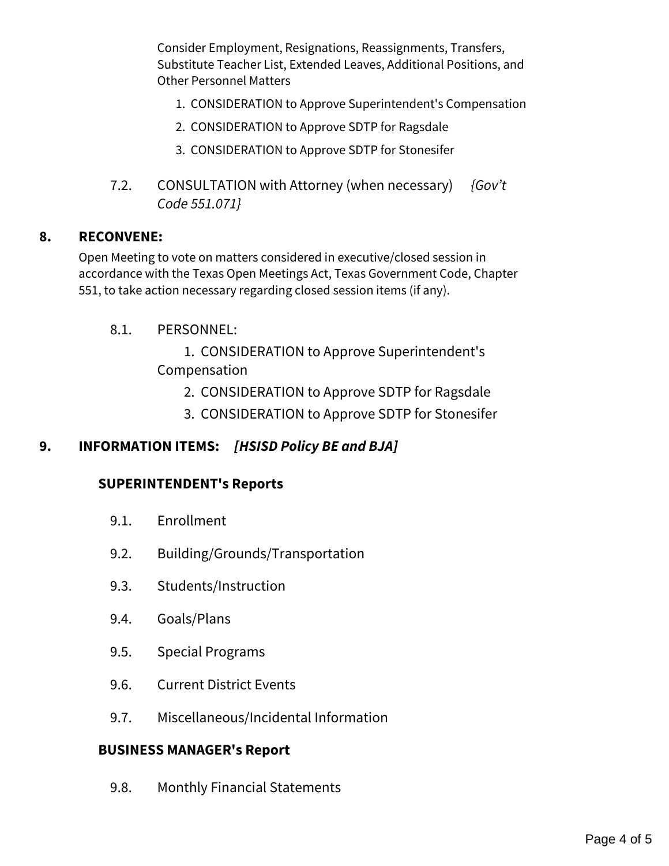Consider Employment, Resignations, Reassignments, Transfers, Substitute Teacher List, Extended Leaves, Additional Positions, and Other Personnel Matters

- 1. CONSIDERATION to Approve Superintendent's Compensation
- 2. CONSIDERATION to Approve SDTP for Ragsdale
- 3. CONSIDERATION to Approve SDTP for Stonesifer
- 7.2. CONSULTATION with Attorney (when necessary) *{Gov't Code 551.071}*

#### **8. RECONVENE:**

Open Meeting to vote on matters considered in executive/closed session in accordance with the Texas Open Meetings Act, Texas Government Code, Chapter 551, to take action necessary regarding closed session items (if any).

8.1. PERSONNEL:

 1. CONSIDERATION to Approve Superintendent's Compensation

- 2. CONSIDERATION to Approve SDTP for Ragsdale
- 3. CONSIDERATION to Approve SDTP for Stonesifer

## **9. INFORMATION ITEMS:** *[HSISD Policy BE and BJA]*

#### **SUPERINTENDENT's Reports**

- 9.1. Enrollment
- 9.2. Building/Grounds/Transportation
- 9.3. Students/Instruction
- 9.4. Goals/Plans
- 9.5. Special Programs
- 9.6. Current District Events
- 9.7. Miscellaneous/Incidental Information

#### **BUSINESS MANAGER's Report**

9.8. Monthly Financial Statements